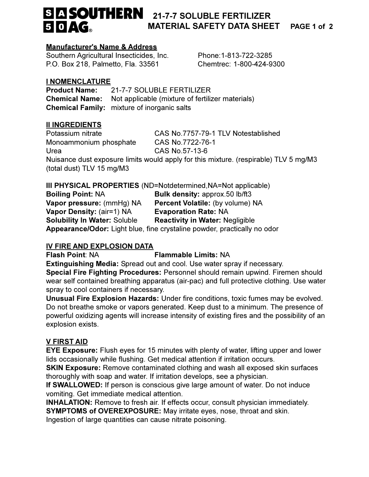# **S A SOUTHERN** 21-7-7 SOLUBLE FERTILIZER 50AG.

# **MATERIAL SAFETY DATA SHEET**

PAGE 1 of 2

#### **Manufacturer's Name & Address**

Southern Agricultural Insecticides, Inc. P.O. Box 218, Palmetto, Fla. 33561

Phone: 1-813-722-3285 Chemtrec: 1-800-424-9300

# **I NOMENCLATURE**

**Product Name:** 21-7-7 SOLUBLE FERTILIZER Not applicable (mixture of fertilizer materials) **Chemical Name: Chemical Family:** mixture of inorganic salts

# **II INGREDIENTS**

CAS No.7757-79-1 TLV Notestablished Potassium nitrate Monoammonium phosphate CAS No.7722-76-1 CAS No.57-13-6 Urea Nuisance dust exposure limits would apply for this mixture. (respirable) TLV 5 mg/M3 (total dust) TLV 15 mg/M3

# III PHYSICAL PROPERTIES (ND=Notdetermined, NA=Not applicable)

| <b>Boiling Point: NA</b>                                                 | <b>Bulk density: approx.50 lb/ft3</b>   |
|--------------------------------------------------------------------------|-----------------------------------------|
| Vapor pressure: (mmHg) NA                                                | <b>Percent Volatile: (by volume) NA</b> |
| Vapor Density: (air=1) NA                                                | <b>Evaporation Rate: NA</b>             |
| <b>Solubility In Water: Soluble</b>                                      | <b>Reactivity in Water: Negligible</b>  |
| Appearance/Odor: Light blue, fine crystaline powder, practically no odor |                                         |

# IV FIRE AND EXPLOSION DATA

**Flash Point: NA Flammable Limits: NA** 

Extinguishing Media: Spread out and cool. Use water spray if necessary.

Special Fire Fighting Procedures: Personnel should remain upwind. Firemen should wear self contained breathing apparatus (air-pac) and full protective clothing. Use water spray to cool containers if necessary.

Unusual Fire Explosion Hazards: Under fire conditions, toxic fumes may be evolved. Do not breathe smoke or vapors generated. Keep dust to a minimum. The presence of powerful oxidizing agents will increase intensity of existing fires and the possibility of an explosion exists.

# **V FIRST AID**

**EYE Exposure:** Flush eyes for 15 minutes with plenty of water, lifting upper and lower lids occasionally while flushing. Get medical attention if irritation occurs.

**SKIN Exposure:** Remove contaminated clothing and wash all exposed skin surfaces thoroughly with soap and water. If irritation develops, see a physician.

If SWALLOWED: If person is conscious give large amount of water. Do not induce vomiting. Get immediate medical attention.

**INHALATION:** Remove to fresh air. If effects occur, consult physician immediately.

**SYMPTOMS of OVEREXPOSURE:** May irritate eyes, nose, throat and skin.

Ingestion of large quantities can cause nitrate poisoning.